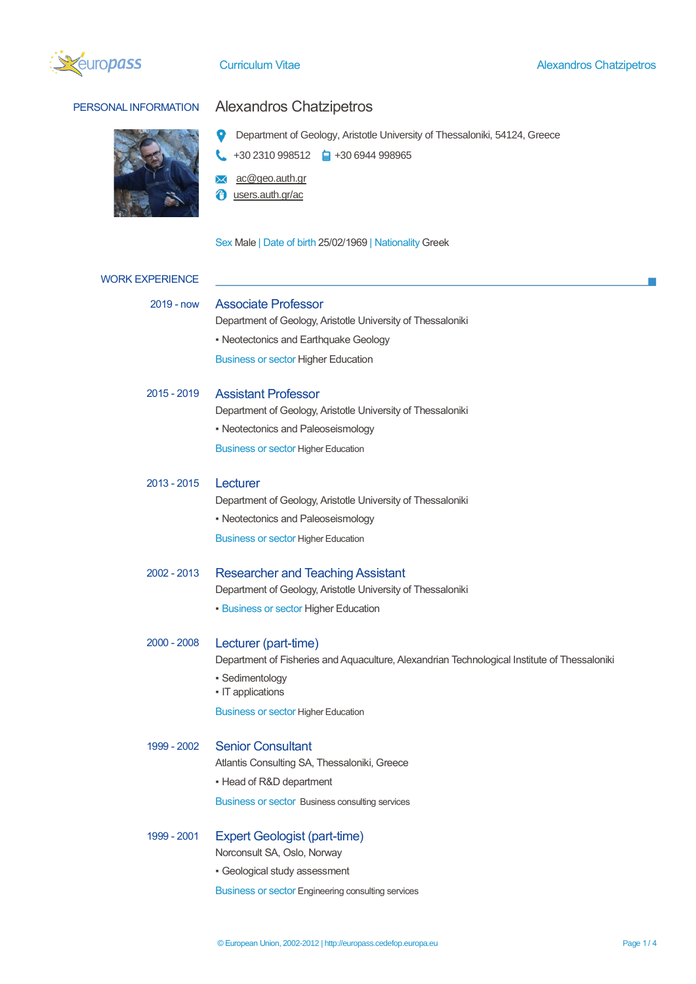



## PERSONAL INFORMATION Alexandros Chatzipetros

**Q** Department of Geology, Aristotle University of Thessaloniki, 54124, Greece

 $\leftarrow$  +30 2310 998512  $\leftarrow$  +30 6944 998965

**X** ac@geo.auth.gr

*<u>O* users.auth.gr/ac</u>

Sex Male | Date of birth 25/02/1969 | Nationality Greek

| <b>WORK EXPERIENCE</b> |                                                                                              |  |  |  |  |
|------------------------|----------------------------------------------------------------------------------------------|--|--|--|--|
| 2019 - now             | <b>Associate Professor</b>                                                                   |  |  |  |  |
|                        | Department of Geology, Aristotle University of Thessaloniki                                  |  |  |  |  |
|                        | • Neotectonics and Earthquake Geology                                                        |  |  |  |  |
|                        | <b>Business or sector Higher Education</b>                                                   |  |  |  |  |
| $2015 - 2019$          | <b>Assistant Professor</b>                                                                   |  |  |  |  |
|                        | Department of Geology, Aristotle University of Thessaloniki                                  |  |  |  |  |
|                        | • Neotectonics and Paleoseismology                                                           |  |  |  |  |
|                        | <b>Business or sector Higher Education</b>                                                   |  |  |  |  |
| 2013 - 2015            | Lecturer                                                                                     |  |  |  |  |
|                        | Department of Geology, Aristotle University of Thessaloniki                                  |  |  |  |  |
|                        | • Neotectonics and Paleoseismology                                                           |  |  |  |  |
|                        | <b>Business or sector Higher Education</b>                                                   |  |  |  |  |
| $2002 - 2013$          | <b>Researcher and Teaching Assistant</b>                                                     |  |  |  |  |
|                        | Department of Geology, Aristotle University of Thessaloniki                                  |  |  |  |  |
|                        | • Business or sector Higher Education                                                        |  |  |  |  |
| $2000 - 2008$          | Lecturer (part-time)                                                                         |  |  |  |  |
|                        | Department of Fisheries and Aquaculture, Alexandrian Technological Institute of Thessaloniki |  |  |  |  |
|                        | · Sedimentology<br>• IT applications                                                         |  |  |  |  |
|                        | <b>Business or sector Higher Education</b>                                                   |  |  |  |  |
| 1999 - 2002            | <b>Senior Consultant</b>                                                                     |  |  |  |  |
|                        | Atlantis Consulting SA, Thessaloniki, Greece                                                 |  |  |  |  |
|                        | - Head of R&D department                                                                     |  |  |  |  |
|                        | Business or sector Business consulting services                                              |  |  |  |  |
| 1999 - 2001            | <b>Expert Geologist (part-time)</b>                                                          |  |  |  |  |
|                        | Norconsult SA, Oslo, Norway                                                                  |  |  |  |  |
|                        | · Geological study assessment                                                                |  |  |  |  |
|                        | Business or sector Engineering consulting services                                           |  |  |  |  |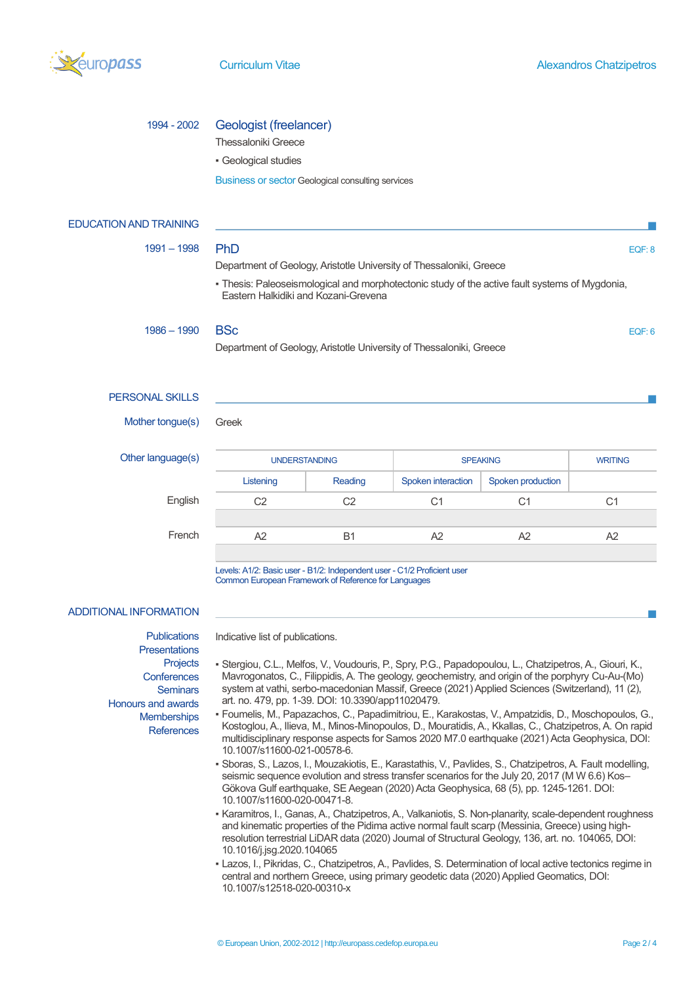

## 1994 - 2002 Geologist (freelancer)

Thessaloniki Greece

▪ Geological studies

Business or sector Geological consulting services

| <b>EDUCATION AND TRAINING</b>                                                                                                                                            |                                                                                                                                                                                                                                                                                                           |                |                    |                                                                                                                                                                                                                                                                                                                                                                                                                   |                |  |
|--------------------------------------------------------------------------------------------------------------------------------------------------------------------------|-----------------------------------------------------------------------------------------------------------------------------------------------------------------------------------------------------------------------------------------------------------------------------------------------------------|----------------|--------------------|-------------------------------------------------------------------------------------------------------------------------------------------------------------------------------------------------------------------------------------------------------------------------------------------------------------------------------------------------------------------------------------------------------------------|----------------|--|
| $1991 - 1998$                                                                                                                                                            | PhD<br>EQF: 8                                                                                                                                                                                                                                                                                             |                |                    |                                                                                                                                                                                                                                                                                                                                                                                                                   |                |  |
|                                                                                                                                                                          | Department of Geology, Aristotle University of Thessaloniki, Greece                                                                                                                                                                                                                                       |                |                    |                                                                                                                                                                                                                                                                                                                                                                                                                   |                |  |
|                                                                                                                                                                          | - Thesis: Paleoseismological and morphotectonic study of the active fault systems of Mygdonia,<br>Eastern Halkidiki and Kozani-Grevena                                                                                                                                                                    |                |                    |                                                                                                                                                                                                                                                                                                                                                                                                                   |                |  |
| $1986 - 1990$                                                                                                                                                            | <b>BSc</b><br>EQF: 6                                                                                                                                                                                                                                                                                      |                |                    |                                                                                                                                                                                                                                                                                                                                                                                                                   |                |  |
|                                                                                                                                                                          | Department of Geology, Aristotle University of Thessaloniki, Greece                                                                                                                                                                                                                                       |                |                    |                                                                                                                                                                                                                                                                                                                                                                                                                   |                |  |
| <b>PERSONAL SKILLS</b>                                                                                                                                                   |                                                                                                                                                                                                                                                                                                           |                |                    |                                                                                                                                                                                                                                                                                                                                                                                                                   |                |  |
| Mother tongue(s)                                                                                                                                                         | Greek                                                                                                                                                                                                                                                                                                     |                |                    |                                                                                                                                                                                                                                                                                                                                                                                                                   |                |  |
| Other language(s)                                                                                                                                                        | <b>UNDERSTANDING</b>                                                                                                                                                                                                                                                                                      |                | <b>SPEAKING</b>    |                                                                                                                                                                                                                                                                                                                                                                                                                   | <b>WRITING</b> |  |
|                                                                                                                                                                          | Listening                                                                                                                                                                                                                                                                                                 | Reading        | Spoken interaction | Spoken production                                                                                                                                                                                                                                                                                                                                                                                                 |                |  |
| English                                                                                                                                                                  | C <sub>2</sub>                                                                                                                                                                                                                                                                                            | C <sub>2</sub> | C <sub>1</sub>     | C <sub>1</sub>                                                                                                                                                                                                                                                                                                                                                                                                    | C <sub>1</sub> |  |
|                                                                                                                                                                          |                                                                                                                                                                                                                                                                                                           |                |                    |                                                                                                                                                                                                                                                                                                                                                                                                                   |                |  |
| French                                                                                                                                                                   | A <sub>2</sub>                                                                                                                                                                                                                                                                                            | <b>B1</b>      | A2                 | A2                                                                                                                                                                                                                                                                                                                                                                                                                | A2             |  |
| <b>ADDITIONAL INFORMATION</b>                                                                                                                                            | Levels: A1/2: Basic user - B1/2: Independent user - C1/2 Proficient user<br>Common European Framework of Reference for Languages                                                                                                                                                                          |                |                    |                                                                                                                                                                                                                                                                                                                                                                                                                   |                |  |
| <b>Publications</b><br><b>Presentations</b><br><b>Projects</b><br>Conferences<br><b>Seminars</b><br><b>Honours and awards</b><br><b>Memberships</b><br><b>References</b> | Indicative list of publications.<br>- Stergiou, C.L., Melfos, V., Voudouris, P., Spry, P.G., Papadopoulou, L., Chatzipetros, A., Giouri, K.,<br>art. no. 479, pp. 1-39. DOI: 10.3390/app11020479.<br>- Foumelis, M., Papazachos, C., Papadimitriou, E., Karakostas, V., Ampatzidis, D., Moschopoulos, G., |                |                    | Mavrogonatos, C., Filippidis, A. The geology, geochemistry, and origin of the porphyry Cu-Au-(Mo)<br>system at vathi, serbo-macedonian Massif, Greece (2021) Applied Sciences (Switzerland), 11 (2),<br>Kostoglou, A., Ilieva, M., Minos-Minopoulos, D., Mouratidis, A., Kkallas, C., Chatzipetros, A. On rapid<br>multidisciplinary response aspects for Samos 2020 M7.0 earthquake (2021) Acta Geophysica, DOI: |                |  |
|                                                                                                                                                                          | 10.1007/s11600-021-00578-6.<br>Shoras S, Lazos L, Mouzakiotis E, Karastathis V, Paulides S, Chatzinetros A, Fault modelling                                                                                                                                                                               |                |                    |                                                                                                                                                                                                                                                                                                                                                                                                                   |                |  |

- Sboras, S., Lazos, I., Mouzakiotis, E., Karastathis, V., Pavlides, S., Chatzipetros, A. Fault modelling, seismic sequence evolution and stress transfer scenarios for the July 20, 2017 (M W 6.6) Kos-Gökova Gulf earthquake, SE Aegean (2020) Acta Geophysica, 68 (5), pp. 1245-1261. DOI: 10.1007/s11600-020-00471-8.
- Karamitros, I., Ganas, A., Chatzipetros, A., Valkaniotis, S. Non-planarity, scale-dependent roughness and kinematic properties of the Pidima active normal fault scarp (Messinia, Greece) using highresolution terrestrial LiDAR data (2020) Journal of Structural Geology, 136, art. no. 104065, DOI: 10.1016/j.jsg.2020.104065
- . Lazos, I., Pikridas, C., Chatzipetros, A., Pavlides, S. Determination of local active tectonics regime in central and northern Greece, using primary geodetic data (2020) Applied Geomatics, DOI: 10.1007/s12518-020-00310-x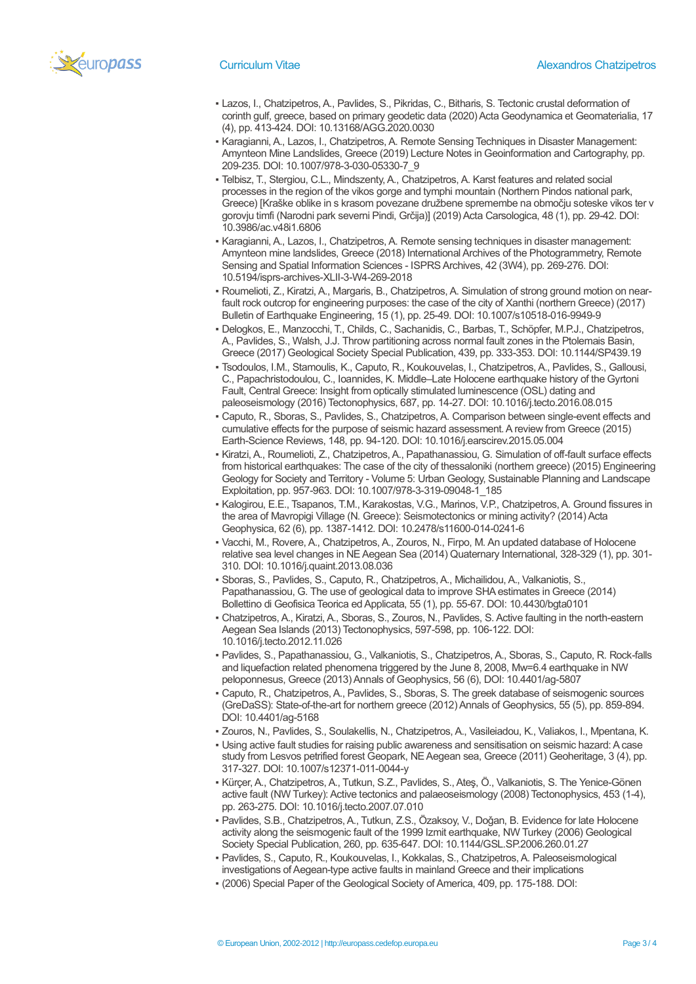

- Lazos, I., Chatzipetros, A., Pavlides, S., Pikridas, C., Bitharis, S. Tectonic crustal deformation of corinth gulf, greece, based on primary geodetic data (2020) Acta Geodynamica et Geomaterialia, 17 (4), pp. 413-424. DOI: 10.13168/AGG.2020.0030
- Karagianni, A., Lazos, I., Chatzipetros, A. Remote Sensing Techniques in Disaster Management: Amynteon Mine Landslides, Greece (2019) Lecture Notes in Geoinformation and Cartography, pp. 209-235. DOI: 10.1007/978-3-030-05330-7\_9
- Telbisz, T., Stergiou, C.L., Mindszenty, A., Chatzipetros, A. Karst features and related social processes in the region of the vikos gorge and tymphi mountain (Northern Pindos national park, Greece) [Kraške oblike in s krasom povezane družbene spremembe na območju soteske vikos ter v gorovju timfi (Narodni park severni Pindi, Grčija)] (2019) Acta Carsologica, 48 (1), pp. 29-42. DOI: 10.3986/ac.v48i1.6806
- Karagianni, A., Lazos, I., Chatzipetros, A. Remote sensing techniques in disaster management: Amynteon mine landslides, Greece (2018) International Archives of the Photogrammetry, Remote Sensing and Spatial Information Sciences - ISPRS Archives, 42 (3W4), pp. 269-276. DOI: 10.5194/isprs-archives-XLII-3-W4-269-2018
- Roumelioti, Z., Kiratzi, A., Margaris, B., Chatzipetros, A. Simulation of strong ground motion on nearfault rock outcrop for engineering purposes: the case of the city of Xanthi (northern Greece) (2017) Bulletin of Earthquake Engineering, 15 (1), pp. 25-49. DOI: 10.1007/s10518-016-9949-9
- Delogkos, E., Manzocchi, T., Childs, C., Sachanidis, C., Barbas, T., Schöpfer, M.P.J., Chatzipetros, A., Pavlides, S., Walsh, J.J. Throw partitioning across normal fault zones in the Ptolemais Basin, Greece (2017) Geological Society Special Publication, 439, pp. 333-353. DOI: 10.1144/SP439.19
- Tsodoulos, I.M., Stamoulis, K., Caputo, R., Koukouvelas, I., Chatzipetros, A., Pavlides, S., Gallousi, C., Papachristodoulou, C., Ioannides, K. Middle–Late Holocene earthquake history of the Gyrtoni Fault, Central Greece: Insight from optically stimulated luminescence (OSL) dating and paleoseismology (2016) Tectonophysics, 687, pp. 14-27. DOI: 10.1016/j.tecto.2016.08.015
- Caputo, R., Sboras, S., Pavlides, S., Chatzipetros, A. Comparison between single-event effects and cumulative effects for the purpose of seismic hazard assessment. A review from Greece (2015) Earth-Science Reviews, 148, pp. 94-120. DOI: 10.1016/j.earscirev.2015.05.004
- Kiratzi, A., Roumelioti, Z., Chatzipetros, A., Papathanassiou, G. Simulation of off-fault surface effects from historical earthquakes: The case of the city of thessaloniki (northern greece) (2015) Engineering Geology for Society and Territory - Volume 5: Urban Geology, Sustainable Planning and Landscape Exploitation, pp. 957-963. DOI: 10.1007/978-3-319-09048-1\_185
- Kalogirou, E.E., Tsapanos, T.M., Karakostas, V.G., Marinos, V.P., Chatzipetros, A. Ground fissures in the area of Mavropigi Village (N. Greece): Seismotectonics or mining activity? (2014) Acta Geophysica, 62 (6), pp. 1387-1412. DOI: 10.2478/s11600-014-0241-6
- Vacchi, M., Rovere, A., Chatzipetros, A., Zouros, N., Firpo, M. An updated database of Holocene relative sea level changes in NE Aegean Sea (2014) Quaternary International, 328-329 (1), pp. 301- 310. DOI: 10.1016/j.quaint.2013.08.036
- Sboras, S., Pavlides, S., Caputo, R., Chatzipetros, A., Michailidou, A., Valkaniotis, S., Papathanassiou, G. The use of geological data to improve SHA estimates in Greece (2014) Bollettino di Geofisica Teorica ed Applicata, 55 (1), pp. 55-67. DOI: 10.4430/bgta0101
- Chatzipetros, A., Kiratzi, A., Sboras, S., Zouros, N., Pavlides, S. Active faulting in the north-eastern Aegean Sea Islands (2013) Tectonophysics, 597-598, pp. 106-122. DOI: 10.1016/j.tecto.2012.11.026
- Pavlides, S., Papathanassiou, G., Valkaniotis, S., Chatzipetros, A., Sboras, S., Caputo, R. Rock-falls and liquefaction related phenomena triggered by the June 8, 2008, Mw=6.4 earthquake in NW peloponnesus, Greece (2013) Annals of Geophysics, 56 (6), DOI: 10.4401/ag-5807
- Caputo, R., Chatzipetros, A., Pavlides, S., Sboras, S. The greek database of seismogenic sources (GreDaSS): State-of-the-art for northern greece (2012) Annals of Geophysics, 55 (5), pp. 859-894. DOI: 10.4401/ag-5168
- Zouros, N., Pavlides, S., Soulakellis, N., Chatzipetros, A., Vasileiadou, K., Valiakos, I., Mpentana, K. ▪ Using active fault studies for raising public awareness and sensitisation on seismic hazard: A case
- study from Lesvos petrified forest Geopark, NE Aegean sea, Greece (2011) Geoheritage, 3 (4), pp. 317-327. DOI: 10.1007/s12371-011-0044-y
- Kürçer, A., Chatzipetros, A., Tutkun, S.Z., Pavlides, S., Ateş, Ö., Valkaniotis, S. The Yenice-Gönen active fault (NW Turkey): Active tectonics and palaeoseismology (2008) Tectonophysics, 453 (1-4), pp. 263-275. DOI: 10.1016/j.tecto.2007.07.010
- Pavlides, S.B., Chatzipetros, A., Tutkun, Z.S., Özaksoy, V., Doǧan, B. Evidence for late Holocene activity along the seismogenic fault of the 1999 Izmit earthquake, NW Turkey (2006) Geological Society Special Publication, 260, pp. 635-647. DOI: 10.1144/GSL.SP.2006.260.01.27
- Pavlides, S., Caputo, R., Koukouvelas, I., Kokkalas, S., Chatzipetros, A. Paleoseismological investigations of Aegean-type active faults in mainland Greece and their implications
- (2006) Special Paper of the Geological Society of America, 409, pp. 175-188. DOI: